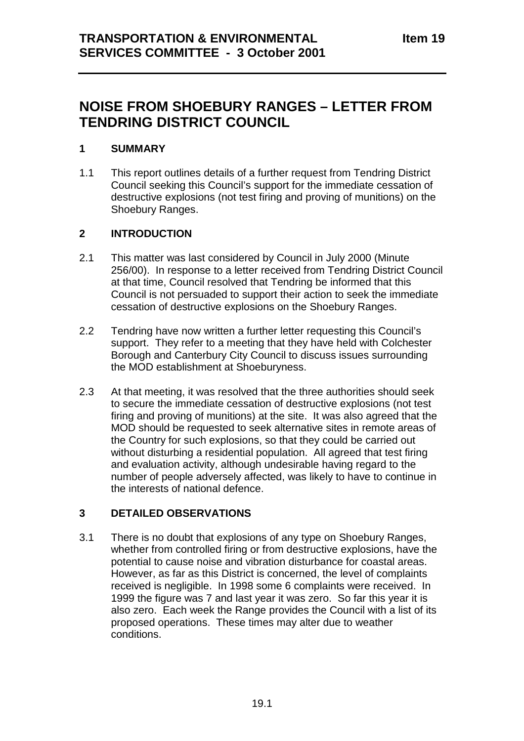# **NOISE FROM SHOEBURY RANGES – LETTER FROM TENDRING DISTRICT COUNCIL**

### **1 SUMMARY**

1.1 This report outlines details of a further request from Tendring District Council seeking this Council's support for the immediate cessation of destructive explosions (not test firing and proving of munitions) on the Shoebury Ranges.

### **2 INTRODUCTION**

- 2.1 This matter was last considered by Council in July 2000 (Minute 256/00). In response to a letter received from Tendring District Council at that time, Council resolved that Tendring be informed that this Council is not persuaded to support their action to seek the immediate cessation of destructive explosions on the Shoebury Ranges.
- 2.2 Tendring have now written a further letter requesting this Council's support. They refer to a meeting that they have held with Colchester Borough and Canterbury City Council to discuss issues surrounding the MOD establishment at Shoeburyness.
- 2.3 At that meeting, it was resolved that the three authorities should seek to secure the immediate cessation of destructive explosions (not test firing and proving of munitions) at the site. It was also agreed that the MOD should be requested to seek alternative sites in remote areas of the Country for such explosions, so that they could be carried out without disturbing a residential population. All agreed that test firing and evaluation activity, although undesirable having regard to the number of people adversely affected, was likely to have to continue in the interests of national defence.

## **3 DETAILED OBSERVATIONS**

3.1 There is no doubt that explosions of any type on Shoebury Ranges, whether from controlled firing or from destructive explosions, have the potential to cause noise and vibration disturbance for coastal areas. However, as far as this District is concerned, the level of complaints received is negligible. In 1998 some 6 complaints were received. In 1999 the figure was 7 and last year it was zero. So far this year it is also zero. Each week the Range provides the Council with a list of its proposed operations. These times may alter due to weather conditions.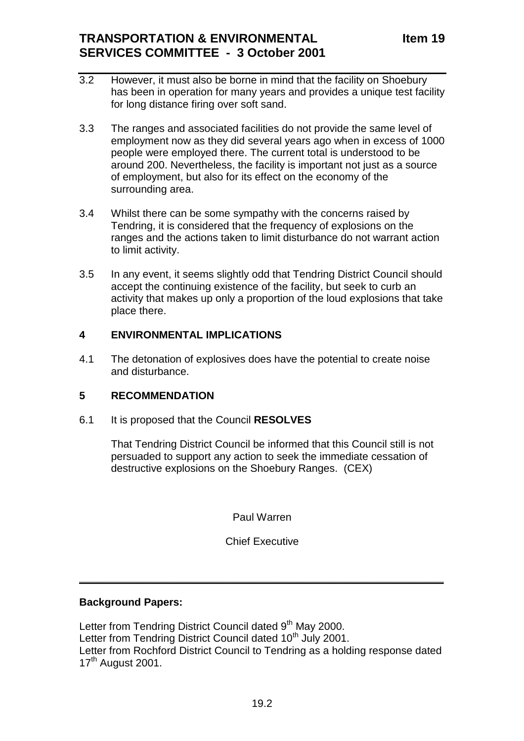# **TRANSPORTATION & ENVIRONMENTAL SERVICES COMMITTEE - 3 October 2001**

- 3.2 However, it must also be borne in mind that the facility on Shoebury has been in operation for many years and provides a unique test facility for long distance firing over soft sand.
- 3.3 The ranges and associated facilities do not provide the same level of employment now as they did several years ago when in excess of 1000 people were employed there. The current total is understood to be around 200. Nevertheless, the facility is important not just as a source of employment, but also for its effect on the economy of the surrounding area.
- 3.4 Whilst there can be some sympathy with the concerns raised by Tendring, it is considered that the frequency of explosions on the ranges and the actions taken to limit disturbance do not warrant action to limit activity.
- 3.5 In any event, it seems slightly odd that Tendring District Council should accept the continuing existence of the facility, but seek to curb an activity that makes up only a proportion of the loud explosions that take place there.

### **4 ENVIRONMENTAL IMPLICATIONS**

4.1 The detonation of explosives does have the potential to create noise and disturbance.

### **5 RECOMMENDATION**

6.1 It is proposed that the Council **RESOLVES**

That Tendring District Council be informed that this Council still is not persuaded to support any action to seek the immediate cessation of destructive explosions on the Shoebury Ranges. (CEX)

Paul Warren

Chief Executive

 $\frac{1}{2}$  ,  $\frac{1}{2}$  ,  $\frac{1}{2}$  ,  $\frac{1}{2}$  ,  $\frac{1}{2}$  ,  $\frac{1}{2}$  ,  $\frac{1}{2}$  ,  $\frac{1}{2}$  ,  $\frac{1}{2}$  ,  $\frac{1}{2}$  ,  $\frac{1}{2}$  ,  $\frac{1}{2}$  ,  $\frac{1}{2}$  ,  $\frac{1}{2}$  ,  $\frac{1}{2}$  ,  $\frac{1}{2}$  ,  $\frac{1}{2}$  ,  $\frac{1}{2}$  ,  $\frac{1$ 

### **Background Papers:**

Letter from Tendring District Council dated 9<sup>th</sup> May 2000. Letter from Tendring District Council dated 10<sup>th</sup> July 2001. Letter from Rochford District Council to Tendring as a holding response dated 17<sup>th</sup> August 2001.